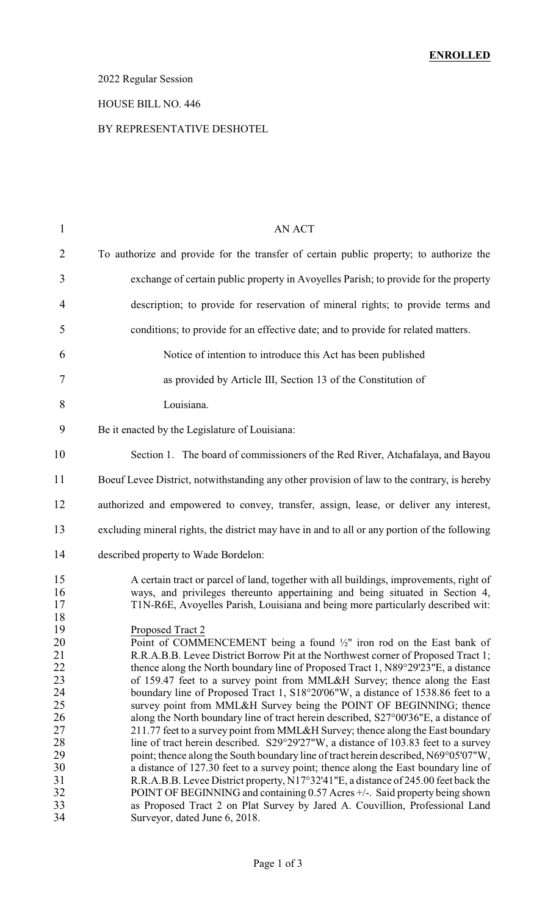# 2022 Regular Session

#### HOUSE BILL NO. 446

#### BY REPRESENTATIVE DESHOTEL

| $\mathbf{1}$                                 | <b>AN ACT</b>                                                                                                                                                                                                                                                                                                                                                                                                                                                                                                                                                                                                                                                                                    |
|----------------------------------------------|--------------------------------------------------------------------------------------------------------------------------------------------------------------------------------------------------------------------------------------------------------------------------------------------------------------------------------------------------------------------------------------------------------------------------------------------------------------------------------------------------------------------------------------------------------------------------------------------------------------------------------------------------------------------------------------------------|
| $\overline{2}$                               | To authorize and provide for the transfer of certain public property; to authorize the                                                                                                                                                                                                                                                                                                                                                                                                                                                                                                                                                                                                           |
| 3                                            | exchange of certain public property in Avoyelles Parish; to provide for the property                                                                                                                                                                                                                                                                                                                                                                                                                                                                                                                                                                                                             |
| 4                                            | description; to provide for reservation of mineral rights; to provide terms and                                                                                                                                                                                                                                                                                                                                                                                                                                                                                                                                                                                                                  |
| 5                                            | conditions; to provide for an effective date; and to provide for related matters.                                                                                                                                                                                                                                                                                                                                                                                                                                                                                                                                                                                                                |
| 6                                            | Notice of intention to introduce this Act has been published                                                                                                                                                                                                                                                                                                                                                                                                                                                                                                                                                                                                                                     |
| 7                                            | as provided by Article III, Section 13 of the Constitution of                                                                                                                                                                                                                                                                                                                                                                                                                                                                                                                                                                                                                                    |
| 8                                            | Louisiana.                                                                                                                                                                                                                                                                                                                                                                                                                                                                                                                                                                                                                                                                                       |
| 9                                            | Be it enacted by the Legislature of Louisiana:                                                                                                                                                                                                                                                                                                                                                                                                                                                                                                                                                                                                                                                   |
| 10                                           | Section 1. The board of commissioners of the Red River, Atchafalaya, and Bayou                                                                                                                                                                                                                                                                                                                                                                                                                                                                                                                                                                                                                   |
| 11                                           | Boeuf Levee District, notwithstanding any other provision of law to the contrary, is hereby                                                                                                                                                                                                                                                                                                                                                                                                                                                                                                                                                                                                      |
| 12                                           | authorized and empowered to convey, transfer, assign, lease, or deliver any interest,                                                                                                                                                                                                                                                                                                                                                                                                                                                                                                                                                                                                            |
| 13                                           | excluding mineral rights, the district may have in and to all or any portion of the following                                                                                                                                                                                                                                                                                                                                                                                                                                                                                                                                                                                                    |
| 14                                           | described property to Wade Bordelon:                                                                                                                                                                                                                                                                                                                                                                                                                                                                                                                                                                                                                                                             |
| 15<br>16<br>17<br>18<br>19                   | A certain tract or parcel of land, together with all buildings, improvements, right of<br>ways, and privileges thereunto appertaining and being situated in Section 4,<br>T1N-R6E, Avoyelles Parish, Louisiana and being more particularly described wit:<br>Proposed Tract 2                                                                                                                                                                                                                                                                                                                                                                                                                    |
| 20<br>21<br>22<br>23<br>24<br>25             | Point of COMMENCEMENT being a found $\frac{1}{2}$ " iron rod on the East bank of<br>R.R.A.B.B. Levee District Borrow Pit at the Northwest corner of Proposed Tract 1;<br>thence along the North boundary line of Proposed Tract 1, N89°29'23"E, a distance<br>of 159.47 feet to a survey point from MML&H Survey; thence along the East<br>boundary line of Proposed Tract 1, S18°20'06"W, a distance of 1538.86 feet to a<br>survey point from MML&H Survey being the POINT OF BEGINNING; thence                                                                                                                                                                                                |
| 26<br>27<br>28<br>29<br>30<br>31<br>32<br>33 | along the North boundary line of tract herein described, S27°00'36"E, a distance of<br>211.77 feet to a survey point from MML&H Survey; thence along the East boundary<br>line of tract herein described. S29°29'27"W, a distance of 103.83 feet to a survey<br>point; thence along the South boundary line of tract herein described, N69°05'07"W,<br>a distance of 127.30 feet to a survey point; thence along the East boundary line of<br>R.R.A.B.B. Levee District property, N17°32'41"E, a distance of 245.00 feet back the<br>POINT OF BEGINNING and containing 0.57 Acres +/-. Said property being shown<br>as Proposed Tract 2 on Plat Survey by Jared A. Couvillion, Professional Land |
| 34                                           | Surveyor, dated June 6, 2018.                                                                                                                                                                                                                                                                                                                                                                                                                                                                                                                                                                                                                                                                    |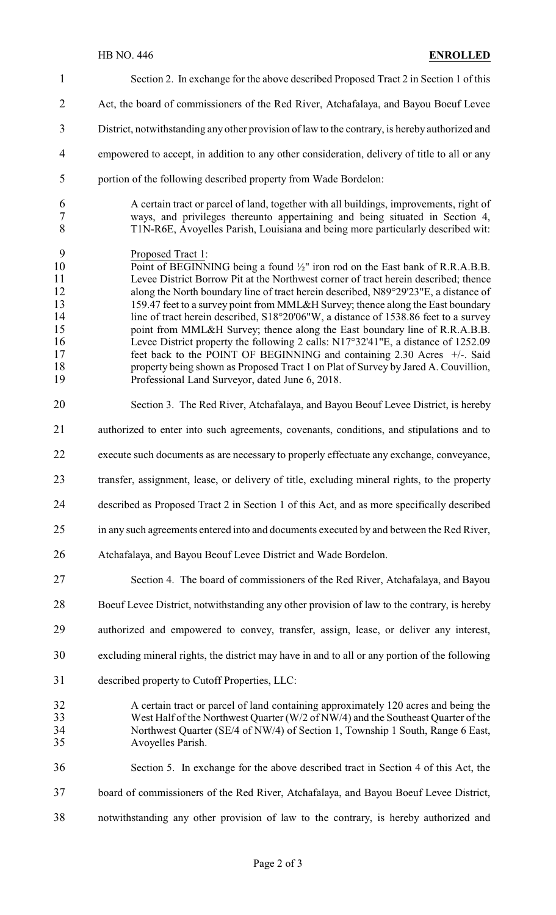Section 2. In exchange for the above described Proposed Tract 2 in Section 1 of this 2 Act, the board of commissioners of the Red River, Atchafalaya, and Bayou Boeuf Levee District, notwithstanding any other provision of law to the contrary, is hereby authorized and empowered to accept, in addition to any other consideration, delivery of title to all or any portion of the following described property from Wade Bordelon: A certain tract or parcel of land, together with all buildings, improvements, right of ways, and privileges thereunto appertaining and being situated in Section 4, T1N-R6E, Avoyelles Parish, Louisiana and being more particularly described wit: Proposed Tract 1: 10 Point of BEGINNING being a found  $\frac{1}{2}$ " iron rod on the East bank of R.R.A.B.B. Levee District Borrow Pit at the Northwest corner of tract herein described; thence 12 along the North boundary line of tract herein described, N89°29'23"E, a distance of 13 159.47 feet to a survey point from MML&H Survey; thence along the East boundary 159.47 feet to a survey point from MML&H Survey; thence along the East boundary 14 line of tract herein described, S18°20'06"W, a distance of 1538.86 feet to a survey 15 point from MML&H Survey; thence along the East boundary line of R.R.A.B.B. 16 Levee District property the following 2 calls: N17°32'41"E, a distance of 1252.09 17 feet back to the POINT OF BEGINNING and containing 2.30 Acres  $+/-$ . Said 18 property being shown as Proposed Tract 1 on Plat of Survey by Jared A. Couvillion,<br>19 Professional Land Surveyor, dated June 6, 2018. Professional Land Surveyor, dated June 6, 2018. Section 3. The Red River, Atchafalaya, and Bayou Beouf Levee District, is hereby authorized to enter into such agreements, covenants, conditions, and stipulations and to execute such documents as are necessary to properly effectuate any exchange, conveyance, transfer, assignment, lease, or delivery of title, excluding mineral rights, to the property described as Proposed Tract 2 in Section 1 of this Act, and as more specifically described in any such agreements entered into and documents executed by and between the Red River, Atchafalaya, and Bayou Beouf Levee District and Wade Bordelon. Section 4. The board of commissioners of the Red River, Atchafalaya, and Bayou Boeuf Levee District, notwithstanding any other provision of law to the contrary, is hereby authorized and empowered to convey, transfer, assign, lease, or deliver any interest, excluding mineral rights, the district may have in and to all or any portion of the following described property to Cutoff Properties, LLC: A certain tract or parcel of land containing approximately 120 acres and being the West Half of the Northwest Quarter (W/2 of NW/4) and the Southeast Quarter of the Northwest Quarter (SE/4 of NW/4) of Section 1, Township 1 South, Range 6 East, Avoyelles Parish. Section 5. In exchange for the above described tract in Section 4 of this Act, the board of commissioners of the Red River, Atchafalaya, and Bayou Boeuf Levee District, notwithstanding any other provision of law to the contrary, is hereby authorized and